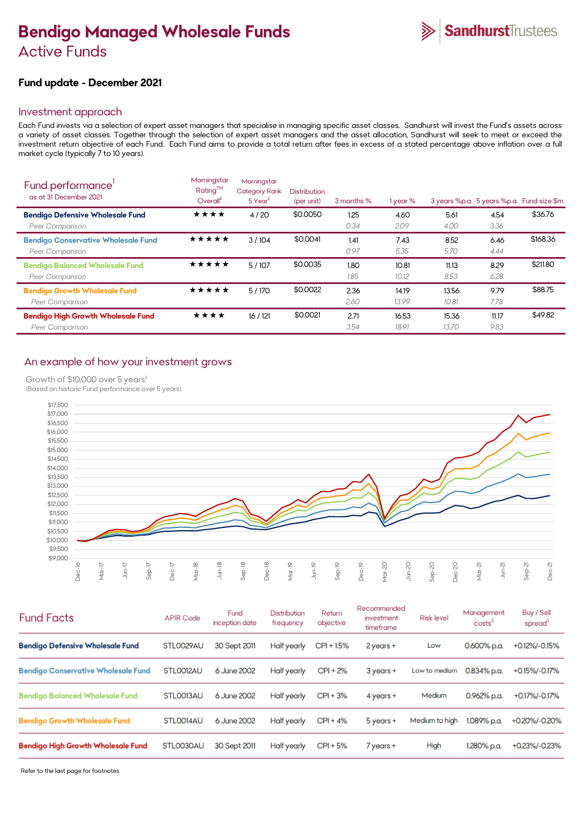# **Bendigo Managed Wholesale Funds**  Active Funds

# **Fund update - December 2021**

## Investment approach

Each Fund invests via a selection of expert asset managers that specialise in managing specific asset classes. Sandhurst will invest the Fund's assets across a variety of asset classes. Together through the selection of expert asset managers and the asset allocation, Sandhurst will seek to meet or exceed the investment return objective of each Fund. Each Fund aims to provide a total return after fees in excess of a stated percentage above inflation over a full market cycle (typically 7 to 10 years).

| Fund performance'<br>as at 31 December 2021                   | Morningstar<br>Rating™<br>Overall <sup>2</sup> | Morningstar<br><b>Category Rank</b><br>$5$ Year <sup>2</sup> | <b>Distribution</b><br>(per unit) | 3 months %   | 1 year %       |                |               | 3 years %p.a. 5 years %p.a. Fund size \$m |
|---------------------------------------------------------------|------------------------------------------------|--------------------------------------------------------------|-----------------------------------|--------------|----------------|----------------|---------------|-------------------------------------------|
| <b>Bendigo Defensive Wholesale Fund</b><br>Peer Comparison    | ★★★★                                           | 4/20                                                         | \$0.0050                          | 1.25<br>0.34 | 4.60<br>2.09   | 5.61<br>4.00   | 4.54<br>3.36  | \$36.76                                   |
| <b>Bendigo Conservative Wholesale Fund</b><br>Peer Comparison | ★★★★★                                          | 3/104                                                        | \$0.0041                          | 1.41<br>0.97 | 7.43<br>5.35   | 8.52<br>5.70   | 6.46<br>4.44  | \$168.36                                  |
| <b>Bendigo Balanced Wholesale Fund</b><br>Peer Comparison     | ★★★★★                                          | 5/107                                                        | \$0.0035                          | 1.80<br>1.85 | 10.81<br>10.12 | 11.13<br>8.53  | 8.29<br>6.28  | \$211.80                                  |
| <b>Bendigo Growth Wholesale Fund</b><br>Peer Comparison       | ★★★★★                                          | 5/170                                                        | \$0.0022                          | 2.36<br>2.60 | 14.19<br>13.99 | 13.56<br>10.81 | 9.79<br>7.78  | \$88.75                                   |
| <b>Bendigo High Growth Wholesale Fund</b><br>Peer Comparison  | ★★★★                                           | 16/121                                                       | \$0.0021                          | 2.71<br>3.54 | 16.53<br>18.91 | 15.36<br>13.70 | 11.17<br>9.83 | \$49.82                                   |

# An example of how your investment grows

Growth of \$10,000 over 5 years<sup>1</sup>

(Based on historic Fund performance over 5 years)



| <b>Fund Facts</b>                          | <b>APIR Code</b> | Fund<br>inception date | Distribution<br>frequency | Return<br>objective | Recommended<br>investment<br>timeframe | <b>Risk level</b> | Management<br>costs <sup>3</sup> | Buy / Sell<br>spread <sup>3</sup> |
|--------------------------------------------|------------------|------------------------|---------------------------|---------------------|----------------------------------------|-------------------|----------------------------------|-----------------------------------|
| <b>Bendigo Defensive Wholesale Fund</b>    | STL0029AU        | 30 Sept 2011           | Half yearly               | CPI + 1.5%          | 2 years +                              | Low               | 0.600% p.a.                      | +0.12%/-0.15%                     |
| <b>Bendigo Conservative Wholesale Fund</b> | STLO012AU        | 6 June 2002            | Half yearly               | $CPI + 2%$          | 3 years +                              | Low to medium     | $0.834\%$ p.a.                   | +0.15%/-0.17%                     |
| <b>Bendigo Balanced Wholesale Fund</b>     | STLO013AU        | 6 June 2002            | Half yearly               | $CPI + 3%$          | $4$ years $+$                          | Medium            | 0.962% p.a.                      | +0.17%/-0.17%                     |
| <b>Bendigo Growth Wholesale Fund</b>       | STLO014AU        | 6 June 2002            | Half yearly               | $CPI + 4%$          | 5 years +                              | Medium to high    | 1.089% p.a.                      | +0.20%/-0.20%                     |
| <b>Bendigo High Growth Wholesale Fund</b>  | STL0030AU        | 30 Sept 2011           | Half yearly               | $CPI + 5%$          | 7 years +                              | High              | 1.280% p.a.                      | +0.23%/-0.23%                     |

Refer to the last page for footnotes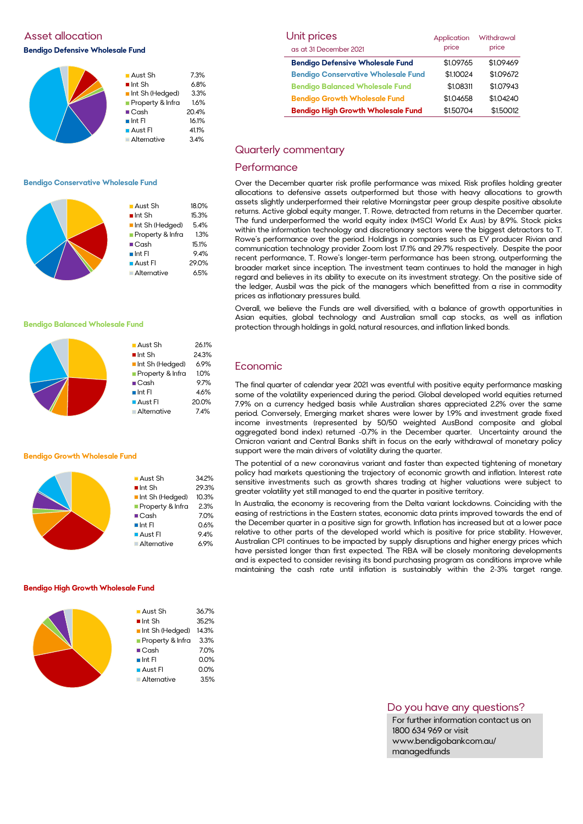# Asset allocation **Bendigo Defensive Wholesale Fund**

| $\blacksquare$ Aust Sh | 7.3%  |
|------------------------|-------|
| $\blacksquare$ Int Sh  | 6.8%  |
| Int Sh (Hedged)        | 3.3%  |
| Property & Infra       | 1.6%  |
| $\blacksquare$ Cash    | 20.4% |
| $\blacksquare$ Int FI  | 16.1% |
| <b>Aust Fl</b>         | 41.1% |
| <b>Alternative</b>     | 3.4%  |

#### **Bendigo Conservative Wholesale Fund**

|  | $\blacksquare$ Aust Sh<br>$\blacksquare$ Int Sh<br>Int Sh (Hedged)<br>Property & Infra<br>$\blacksquare$ Cash<br>$\blacksquare$ Int FI<br><b>Aust Fl</b> | 18.0%<br>15.3%<br>5.4%<br>1.3%<br>15.1%<br>9.4%<br>29.0% |
|--|----------------------------------------------------------------------------------------------------------------------------------------------------------|----------------------------------------------------------|
|  | Alternative                                                                                                                                              | 6.5%                                                     |
|  |                                                                                                                                                          |                                                          |

#### **Bendigo Balanced Wholesale Fund**



#### **Bendigo Growth Wholesale Fund**

| 34.2% |
|-------|
| 29.3% |
| 10.3% |
| 2.3%  |
| 7.0%  |
| 0.6%  |
| 9.4%  |
| 6.9%  |
|       |

#### **Bendigo High Growth Wholesale Fund**

| $\blacksquare$ Aust Sh | 36.7% |
|------------------------|-------|
| $\blacksquare$ Int Sh  | 35.2% |
| Int Sh (Hedged)        | 14.3% |
| Property & Infra       | 3.3%  |
| $\blacksquare$ Cash    | 7.0%  |
| $\blacksquare$ Int FI  | 0.0%  |
| $\blacksquare$ Aust Fl | 0.0%  |
| Alternative            | 3.5%  |
|                        |       |

| Unit prices                                | Application | Withdrawal |
|--------------------------------------------|-------------|------------|
| as at 31 December 2021                     | price       | price      |
| <b>Bendigo Defensive Wholesale Fund</b>    | \$1.09765   | \$1.09469  |
| <b>Bendigo Conservative Wholesale Fund</b> | \$1.10024   | \$1.09672  |
| <b>Bendigo Balanced Wholesale Fund</b>     | \$1.08311   | \$1.07943  |
| <b>Bendigo Growth Wholesale Fund</b>       | \$1.04658   | \$1.04240  |
| <b>Bendigo High Growth Wholesale Fund</b>  | \$1.50704   | \$1.50012  |

#### Quarterly commentary

#### **Performance**

Over the December quarter risk profile performance was mixed. Risk profiles holding greater allocations to defensive assets outperformed but those with heavy allocations to growth assets slightly underperformed their relative Morningstar peer group despite positive absolute returns. Active global equity manger, T. Rowe, detracted from returns in the December quarter. The fund underperformed the world equity index (MSCI World Ex Aus) by 8.9%. Stock picks within the information technology and discretionary sectors were the biggest detractors to T. Rowe's performance over the period. Holdings in companies such as EV producer Rivian and communication technology provider Zoom lost 17.1% and 29.7% respectively. Despite the poor recent performance, T. Rowe's longer-term performance has been strong, outperforming the broader market since inception. The investment team continues to hold the manager in high regard and believes in its ability to execute on its investment strategy. On the positive side of the ledger, Ausbil was the pick of the managers which benefitted from a rise in commodity prices as inflationary pressures build.

Overall, we believe the Funds are well diversified, with a balance of growth opportunities in Asian equities, global technology and Australian small cap stocks, as well as inflation protection through holdings in gold, natural resources, and inflation linked bonds.

#### Economic

The final quarter of calendar year 2021 was eventful with positive equity performance masking some of the volatility experienced during the period. Global developed world equities returned 7.9% on a currency hedged basis while Australian shares appreciated 2.2% over the same period. Conversely, Emerging market shares were lower by 1.9% and investment grade fixed income investments (represented by 50/50 weighted AusBond composite and global aggregated bond index) returned -0.7% in the December quarter. Uncertainty around the Omicron variant and Central Banks shift in focus on the early withdrawal of monetary policy support were the main drivers of volatility during the quarter.

The potential of a new coronavirus variant and faster than expected tightening of monetary policy had markets questioning the trajectory of economic growth and inflation. Interest rate sensitive investments such as growth shares trading at higher valuations were subject to greater volatility yet still managed to end the quarter in positive territory.

In Australia, the economy is recovering from the Delta variant lockdowns. Coinciding with the easing of restrictions in the Eastern states, economic data prints improved towards the end of the December quarter in a positive sign for growth. Inflation has increased but at a lower pace relative to other parts of the developed world which is positive for price stability. However, Australian CPI continues to be impacted by supply disruptions and higher energy prices which have persisted longer than first expected. The RBA will be closely monitoring developments and is expected to consider revising its bond purchasing program as conditions improve while maintaining the cash rate until inflation is sustainably within the 2-3% target range.

#### Do you have any questions?

For further information contact us on 1800 634 969 or visit www.bendigobankcom.au/ managedfunds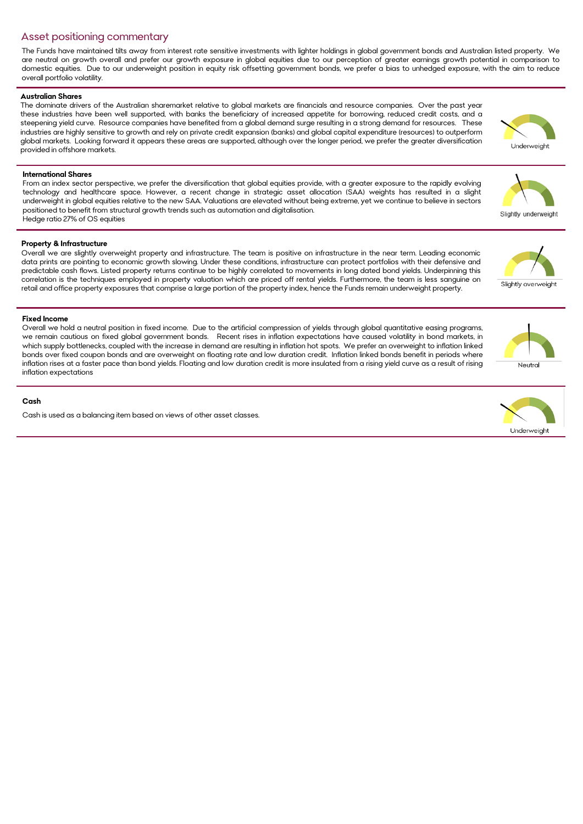## Asset positioning commentary

The Funds have maintained tilts away from interest rate sensitive investments with lighter holdings in global government bonds and Australian listed property. We are neutral on growth overall and prefer our growth exposure in global equities due to our perception of greater earnings growth potential in comparison to domestic equities. Due to our underweight position in equity risk offsetting government bonds, we prefer a bias to unhedged exposure, with the aim to reduce overall portfolio volatility.

#### **Australian Shares**

The dominate drivers of the Australian sharemarket relative to global markets are financials and resource companies. Over the past year these industries have been well supported, with banks the beneficiary of increased appetite for borrowing, reduced credit costs, and a steepening yield curve. Resource companies have benefited from a global demand surge resulting in a strong demand for resources. These industries are highly sensitive to growth and rely on private credit expansion (banks) and global capital expenditure (resources) to outperform global markets. Looking forward it appears these areas are supported, although over the longer period, we prefer the greater diversification provided in offshore markets.

## **International Shares**

From an index sector perspective, we prefer the diversification that global equities provide, with a greater exposure to the rapidly evolving technology and healthcare space. However, a recent change in strategic asset allocation (SAA) weights has resulted in a slight underweight in global equities relative to the new SAA. Valuations are elevated without being extreme, yet we continue to believe in sectors positioned to benefit from structural growth trends such as automation and digitalisation. Hedge ratio 27% of OS equities

## **Property & Infrastructure**

Overall we are slightly overweight property and infrastructure. The team is positive on infrastructure in the near term. Leading economic data prints are pointing to economic growth slowing. Under these conditions, infrastructure can protect portfolios with their defensive and predictable cash flows. Listed property returns continue to be highly correlated to movements in long dated bond yields. Underpinning this correlation is the techniques employed in property valuation which are priced off rental yields. Furthermore, the team is less sanguine on retail and office property exposures that comprise a large portion of the property index, hence the Funds remain underweight property.

## **Fixed Income**

Overall we hold a neutral position in fixed income. Due to the artificial compression of yields through global quantitative easing programs, we remain cautious on fixed global government bonds. Recent rises in inflation expectations have caused volatility in bond markets, in which supply bottlenecks, coupled with the increase in demand are resulting in inflation hot spots. We prefer an overweight to inflation linked bonds over fixed coupon bonds and are overweight on floating rate and low duration credit. Inflation linked bonds benefit in periods where inflation rises at a faster pace than bond yields. Floating and low duration credit is more insulated from a rising yield curve as a result of rising inflation expectations

#### **Cash**

Cash is used as a balancing item based on views of other asset classes.











Slightly overweigh